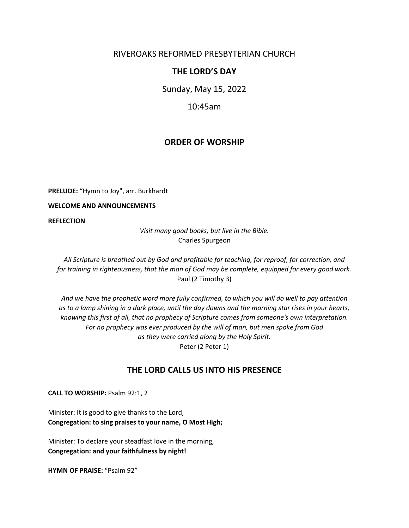## RIVEROAKS REFORMED PRESBYTERIAN CHURCH

## **THE LORD'S DAY**

Sunday, May 15, 2022

10:45am

# **ORDER OF WORSHIP**

**PRELUDE:** "Hymn to Joy", arr. Burkhardt

**WELCOME AND ANNOUNCEMENTS**

**REFLECTION** 

*Visit many good books, but live in the Bible.* Charles Spurgeon

*All Scripture is breathed out by God and profitable for teaching, for reproof, for correction, and for training in righteousness, that the man of God may be complete, equipped for every good work.* Paul (2 Timothy 3)

*And we have the prophetic word more fully confirmed, to which you will do well to pay attention as to a lamp shining in a dark place, until the day dawns and the morning star rises in your hearts, knowing this first of all, that no prophecy of Scripture comes from someone's own interpretation. For no prophecy was ever produced by the will of man, but men spoke from God as they were carried along by the Holy Spirit.* Peter (2 Peter 1)

# **THE LORD CALLS US INTO HIS PRESENCE**

**CALL TO WORSHIP:** Psalm 92:1, 2

Minister: It is good to give thanks to the Lord, **Congregation: to sing praises to your name, O Most High;**

Minister: To declare your steadfast love in the morning, **Congregation: and your faithfulness by night!**

**HYMN OF PRAISE:** "Psalm 92"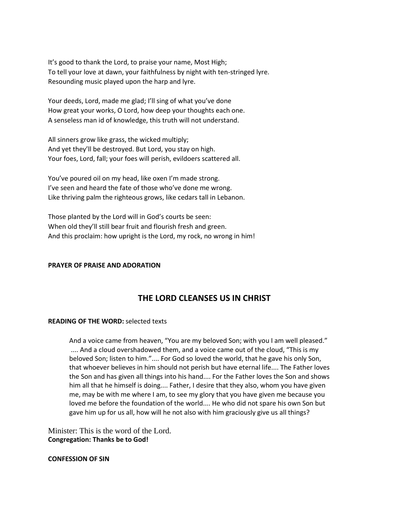It's good to thank the Lord, to praise your name, Most High; To tell your love at dawn, your faithfulness by night with ten-stringed lyre. Resounding music played upon the harp and lyre.

Your deeds, Lord, made me glad; I'll sing of what you've done How great your works, O Lord, how deep your thoughts each one. A senseless man id of knowledge, this truth will not understand.

All sinners grow like grass, the wicked multiply; And yet they'll be destroyed. But Lord, you stay on high. Your foes, Lord, fall; your foes will perish, evildoers scattered all.

You've poured oil on my head, like oxen I'm made strong. I've seen and heard the fate of those who've done me wrong. Like thriving palm the righteous grows, like cedars tall in Lebanon.

Those planted by the Lord will in God's courts be seen: When old they'll still bear fruit and flourish fresh and green. And this proclaim: how upright is the Lord, my rock, no wrong in him!

## **PRAYER OF PRAISE AND ADORATION**

# **THE LORD CLEANSES US IN CHRIST**

### **READING OF THE WORD:** selected texts

And a voice came from heaven, "You are my beloved Son; with you I am well pleased." .... And a cloud overshadowed them, and a voice came out of the cloud, "This is my beloved Son; listen to him.".... For God so loved the world, that he gave his only Son, that whoever believes in him should not perish but have eternal life.... The Father loves the Son and has given all things into his hand.... For the Father loves the Son and shows him all that he himself is doing.... Father, I desire that they also, whom you have given me, may be with me where I am, to see my glory that you have given me because you loved me before the foundation of the world.... He who did not spare his own Son but gave him up for us all, how will he not also with him graciously give us all things?

Minister: This is the word of the Lord. **Congregation: Thanks be to God!**

### **CONFESSION OF SIN**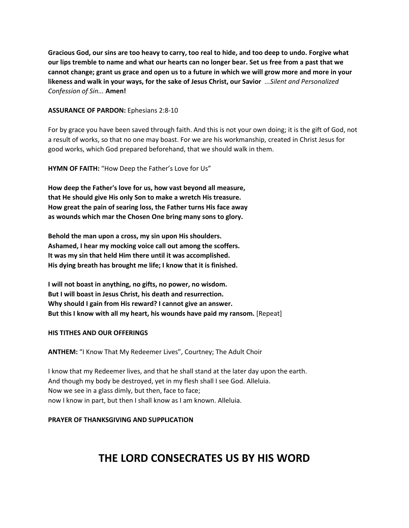**Gracious God, our sins are too heavy to carry, too real to hide, and too deep to undo. Forgive what our lips tremble to name and what our hearts can no longer bear. Set us free from a past that we cannot change; grant us grace and open us to a future in which we will grow more and more in your likeness and walk in your ways, for the sake of Jesus Christ, our Savior** *...Silent and Personalized Confession of Sin...* **Amen!**

**ASSURANCE OF PARDON:** Ephesians 2:8-10

For by grace you have been saved through faith. And this is not your own doing; it is the gift of God, not a result of works, so that no one may boast. For we are his workmanship, created in Christ Jesus for good works, which God prepared beforehand, that we should walk in them.

**HYMN OF FAITH:** "How Deep the Father's Love for Us"

**How deep the Father's love for us, how vast beyond all measure, that He should give His only Son to make a wretch His treasure. How great the pain of searing loss, the Father turns His face away as wounds which mar the Chosen One bring many sons to glory.**

**Behold the man upon a cross, my sin upon His shoulders. Ashamed, I hear my mocking voice call out among the scoffers. It was my sin that held Him there until it was accomplished. His dying breath has brought me life; I know that it is finished.**

**I will not boast in anything, no gifts, no power, no wisdom. But I will boast in Jesus Christ, his death and resurrection. Why should I gain from His reward? I cannot give an answer. But this I know with all my heart, his wounds have paid my ransom.** [Repeat]

## **HIS TITHES AND OUR OFFERINGS**

**ANTHEM:** "I Know That My Redeemer Lives", Courtney; The Adult Choir

I know that my Redeemer lives, and that he shall stand at the later day upon the earth. And though my body be destroyed, yet in my flesh shall I see God. Alleluia. Now we see in a glass dimly, but then, face to face; now I know in part, but then I shall know as I am known. Alleluia.

## **PRAYER OF THANKSGIVING AND SUPPLICATION**

# **THE LORD CONSECRATES US BY HIS WORD**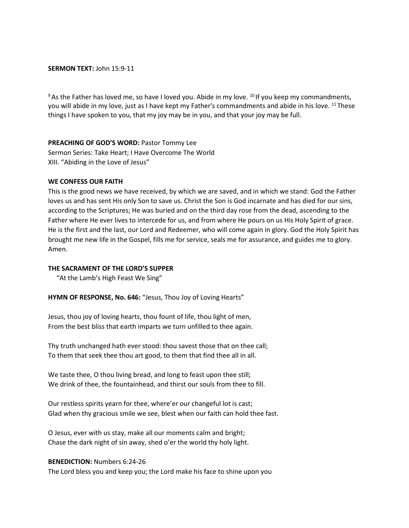#### **SERMON TEXT:** John 15:9-11

 $9$ As the Father has loved me, so have I loved you. Abide in my love.  $^{10}$  If you keep my commandments, you will abide in my love, just as I have kept my Father's commandments and abide in his love. <sup>11</sup> These things I have spoken to you, that my joy may be in you, and that your joy may be full.

## **PREACHING OF GOD'S WORD:** Pastor Tommy Lee Sermon Series: Take Heart; I Have Overcome The World XIII. "Abiding in the Love of Jesus"

### **WE CONFESS OUR FAITH**

This is the good news we have received, by which we are saved, and in which we stand: God the Father loves us and has sent His only Son to save us. Christ the Son is God incarnate and has died for our sins, according to the Scriptures; He was buried and on the third day rose from the dead, ascending to the Father where He ever lives to intercede for us, and from where He pours on us His Holy Spirit of grace. He is the first and the last, our Lord and Redeemer, who will come again in glory. God the Holy Spirit has brought me new life in the Gospel, fills me for service, seals me for assurance, and guides me to glory. Amen.

### **THE SACRAMENT OF THE LORD'S SUPPER**

"At the Lamb's High Feast We Sing"

**HYMN OF RESPONSE, No. 646:** "Jesus, Thou Joy of Loving Hearts"

Jesus, thou joy of loving hearts, thou fount of life, thou light of men, From the best bliss that earth imparts we turn unfilled to thee again.

Thy truth unchanged hath ever stood: thou savest those that on thee call; To them that seek thee thou art good, to them that find thee all in all.

We taste thee, O thou living bread, and long to feast upon thee still; We drink of thee, the fountainhead, and thirst our souls from thee to fill.

Our restless spirits yearn for thee, where'er our changeful lot is cast; Glad when thy gracious smile we see, blest when our faith can hold thee fast.

O Jesus, ever with us stay, make all our moments calm and bright; Chase the dark night of sin away, shed o'er the world thy holy light.

## **BENEDICTION:** Numbers 6:24-26

The Lord bless you and keep you; the Lord make his face to shine upon you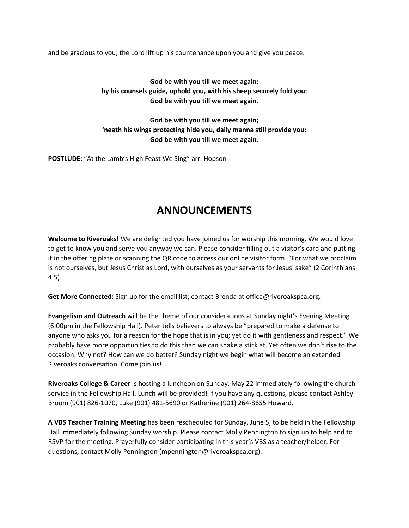and be gracious to you; the Lord lift up his countenance upon you and give you peace.

## **God be with you till we meet again; by his counsels guide, uphold you, with his sheep securely fold you: God be with you till we meet again.**

**God be with you till we meet again; 'neath his wings protecting hide you, daily manna still provide you; God be with you till we meet again.**

**POSTLUDE:** "At the Lamb's High Feast We Sing" arr. Hopson

# **ANNOUNCEMENTS**

**Welcome to Riveroaks!** We are delighted you have joined us for worship this morning. We would love to get to know you and serve you anyway we can. Please consider filling out a visitor's card and putting it in the offering plate or scanning the QR code to access our online visitor form. "For what we proclaim is not ourselves, but Jesus Christ as Lord, with ourselves as your servants for Jesus' sake" (2 Corinthians 4:5).

**Get More Connected:** Sign up for the email list; contact Brenda at office@riveroakspca.org.

**Evangelism and Outreach** will be the theme of our considerations at Sunday night's Evening Meeting (6:00pm in the Fellowship Hall). Peter tells believers to always be "prepared to make a defense to anyone who asks you for a reason for the hope that is in you; yet do it with gentleness and respect." We probably have more opportunities to do this than we can shake a stick at. Yet often we don't rise to the occasion. Why not? How can we do better? Sunday night we begin what will become an extended Riveroaks conversation. Come join us!

**Riveroaks College & Career** is hosting a luncheon on Sunday, May 22 immediately following the church service in the Fellowship Hall. Lunch will be provided! If you have any questions, please contact Ashley Broom (901) 826-1070, Luke (901) 481-5690 or Katherine (901) 264-8655 Howard.

**A VBS Teacher Training Meeting** has been rescheduled for Sunday, June 5, to be held in the Fellowship Hall immediately following Sunday worship. Please contact Molly Pennington to sign up to help and to RSVP for the meeting. Prayerfully consider participating in this year's VBS as a teacher/helper. For questions, contact Molly Pennington (mpennington@riveroakspca.org).